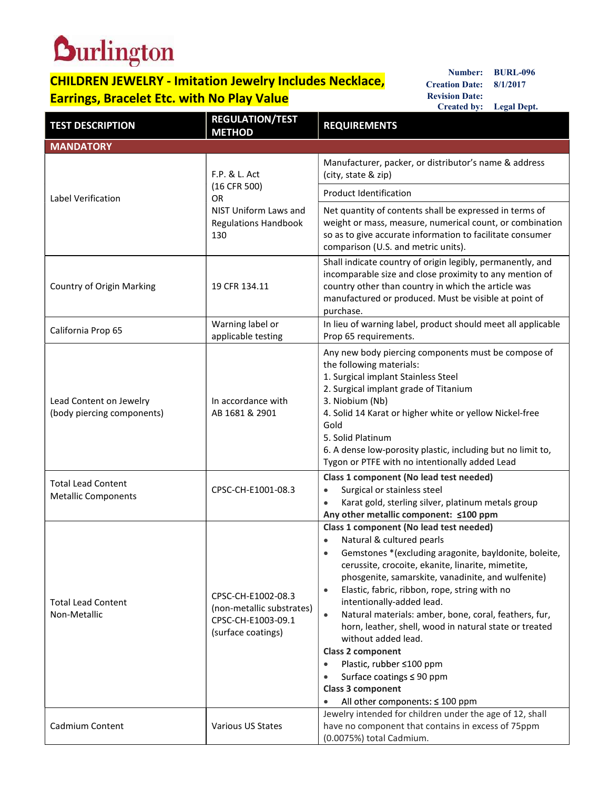## **CHILDREN JEWELRY - Imitation Jewelry Includes Necklace,** Mumber: BURL-096

| <b>Durlington</b><br><b>BURL-096</b><br>Number:<br><b>CHILDREN JEWELRY - Imitation Jewelry Includes Necklace,</b><br><b>Creation Date:</b><br>8/1/2017<br><b>Revision Date:</b><br><b>Earrings, Bracelet Etc. with No Play Value</b> |                                                                                                           |                                                                                                                                                                                                                                                                                                                                                                                                                                                                                                                                                                                                                                                                             |  |  |
|--------------------------------------------------------------------------------------------------------------------------------------------------------------------------------------------------------------------------------------|-----------------------------------------------------------------------------------------------------------|-----------------------------------------------------------------------------------------------------------------------------------------------------------------------------------------------------------------------------------------------------------------------------------------------------------------------------------------------------------------------------------------------------------------------------------------------------------------------------------------------------------------------------------------------------------------------------------------------------------------------------------------------------------------------------|--|--|
|                                                                                                                                                                                                                                      | <b>REGULATION/TEST</b>                                                                                    | Created by: Legal Dept.                                                                                                                                                                                                                                                                                                                                                                                                                                                                                                                                                                                                                                                     |  |  |
| <b>TEST DESCRIPTION</b>                                                                                                                                                                                                              | <b>METHOD</b>                                                                                             | <b>REQUIREMENTS</b>                                                                                                                                                                                                                                                                                                                                                                                                                                                                                                                                                                                                                                                         |  |  |
| <b>MANDATORY</b><br>Label Verification                                                                                                                                                                                               | F.P. & L. Act<br>(16 CFR 500)<br><b>OR</b><br>NIST Uniform Laws and<br><b>Regulations Handbook</b><br>130 | Manufacturer, packer, or distributor's name & address<br>(city, state & zip)                                                                                                                                                                                                                                                                                                                                                                                                                                                                                                                                                                                                |  |  |
|                                                                                                                                                                                                                                      |                                                                                                           | Product Identification<br>Net quantity of contents shall be expressed in terms of<br>weight or mass, measure, numerical count, or combination<br>so as to give accurate information to facilitate consumer<br>comparison (U.S. and metric units).                                                                                                                                                                                                                                                                                                                                                                                                                           |  |  |
| Country of Origin Marking                                                                                                                                                                                                            | 19 CFR 134.11                                                                                             | Shall indicate country of origin legibly, permanently, and<br>incomparable size and close proximity to any mention of<br>country other than country in which the article was<br>manufactured or produced. Must be visible at point of<br>purchase.                                                                                                                                                                                                                                                                                                                                                                                                                          |  |  |
| California Prop 65                                                                                                                                                                                                                   | Warning label or<br>applicable testing                                                                    | In lieu of warning label, product should meet all applicable<br>Prop 65 requirements.                                                                                                                                                                                                                                                                                                                                                                                                                                                                                                                                                                                       |  |  |
| Lead Content on Jewelry<br>(body piercing components)                                                                                                                                                                                | In accordance with<br>AB 1681 & 2901                                                                      | Any new body piercing components must be compose of<br>the following materials:<br>1. Surgical implant Stainless Steel<br>2. Surgical implant grade of Titanium<br>3. Niobium (Nb)<br>4. Solid 14 Karat or higher white or yellow Nickel-free<br>Gold<br>5. Solid Platinum<br>6. A dense low-porosity plastic, including but no limit to,<br>Tygon or PTFE with no intentionally added Lead                                                                                                                                                                                                                                                                                 |  |  |
| <b>Total Lead Content</b><br><b>Metallic Components</b>                                                                                                                                                                              | CPSC-CH-E1001-08.3                                                                                        | Class 1 component (No lead test needed)<br>Surgical or stainless steel<br>$\bullet$<br>Karat gold, sterling silver, platinum metals group<br>$\bullet$<br>Any other metallic component: ≤100 ppm                                                                                                                                                                                                                                                                                                                                                                                                                                                                            |  |  |
| <b>Total Lead Content</b><br>Non-Metallic                                                                                                                                                                                            | CPSC-CH-E1002-08.3<br>(non-metallic substrates)<br>CPSC-CH-E1003-09.1<br>(surface coatings)               | Class 1 component (No lead test needed)<br>Natural & cultured pearls<br>$\bullet$<br>Gemstones *(excluding aragonite, bayldonite, boleite,<br>$\bullet$<br>cerussite, crocoite, ekanite, linarite, mimetite,<br>phosgenite, samarskite, vanadinite, and wulfenite)<br>Elastic, fabric, ribbon, rope, string with no<br>intentionally-added lead.<br>Natural materials: amber, bone, coral, feathers, fur,<br>horn, leather, shell, wood in natural state or treated<br>without added lead.<br><b>Class 2 component</b><br>Plastic, rubber ≤100 ppm<br>$\bullet$<br>Surface coatings $\leq 90$ ppm<br>Class 3 component<br>All other components: $\leq 100$ ppm<br>$\bullet$ |  |  |
| Cadmium Content                                                                                                                                                                                                                      | Various US States                                                                                         | Jewelry intended for children under the age of 12, shall<br>have no component that contains in excess of 75ppm<br>(0.0075%) total Cadmium.                                                                                                                                                                                                                                                                                                                                                                                                                                                                                                                                  |  |  |